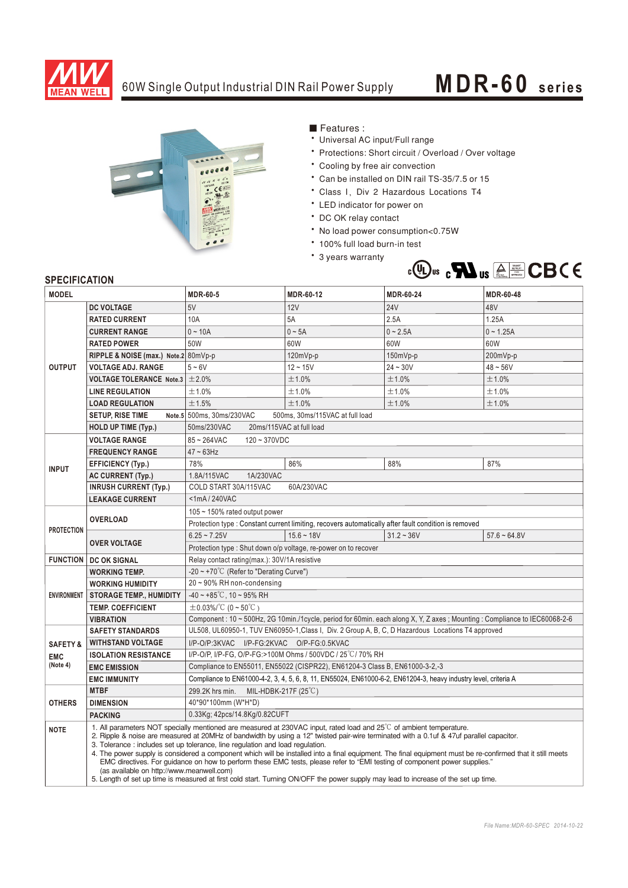

## 60W Single Output Industrial DIN Rail Power Supply **MDR-60** series



■ Features :

- Universal AC input/Full range
- \* Protections: Short circuit / Overload / Over voltage
- \* Cooling by free air convection
- \* Can be installed on DIN rail TS-35/7.5 or 15
- Class I, Div 2 Hazardous Locations T4
- LED indicator for power on
- DC OK relay contact
- No load power consumption<0.75W
- \* 100% full load burn-in test
- \* 3 years warranty



## **SPECIFICATION**

| <b>MODEL</b>        |                                                                                                                                                                                                                                                                                                                                                                                                                                                                                                                                                                                                                                                                                                                                                                                                                                              | <b>MDR-60-5</b>                                                                                                          | MDR-60-12    | <b>MDR-60-24</b> | MDR-60-48      |
|---------------------|----------------------------------------------------------------------------------------------------------------------------------------------------------------------------------------------------------------------------------------------------------------------------------------------------------------------------------------------------------------------------------------------------------------------------------------------------------------------------------------------------------------------------------------------------------------------------------------------------------------------------------------------------------------------------------------------------------------------------------------------------------------------------------------------------------------------------------------------|--------------------------------------------------------------------------------------------------------------------------|--------------|------------------|----------------|
| <b>OUTPUT</b>       | <b>DC VOLTAGE</b>                                                                                                                                                                                                                                                                                                                                                                                                                                                                                                                                                                                                                                                                                                                                                                                                                            | 5V                                                                                                                       | 12V          | <b>24V</b>       | 48V            |
|                     | <b>RATED CURRENT</b>                                                                                                                                                                                                                                                                                                                                                                                                                                                                                                                                                                                                                                                                                                                                                                                                                         | 10A                                                                                                                      | 5A           | 2.5A             | 1.25A          |
|                     | <b>CURRENT RANGE</b>                                                                                                                                                                                                                                                                                                                                                                                                                                                                                                                                                                                                                                                                                                                                                                                                                         | $0 - 10A$                                                                                                                | $0 \sim 5A$  | $0 - 2.5A$       | $0 - 1.25A$    |
|                     | <b>RATED POWER</b>                                                                                                                                                                                                                                                                                                                                                                                                                                                                                                                                                                                                                                                                                                                                                                                                                           | 50W                                                                                                                      | 60W          | 60W              | 60W            |
|                     | RIPPLE & NOISE (max.) Note.2 80mVp-p                                                                                                                                                                                                                                                                                                                                                                                                                                                                                                                                                                                                                                                                                                                                                                                                         |                                                                                                                          | 120mVp-p     | 150mVp-p         | 200mVp-p       |
|                     | <b>VOLTAGE ADJ. RANGE</b>                                                                                                                                                                                                                                                                                                                                                                                                                                                                                                                                                                                                                                                                                                                                                                                                                    | $5 - 6V$                                                                                                                 | $12 - 15V$   | $24 - 30V$       | $48 - 56V$     |
|                     | <b>VOLTAGE TOLERANCE Note.3 <math>\pm</math> 2.0%</b>                                                                                                                                                                                                                                                                                                                                                                                                                                                                                                                                                                                                                                                                                                                                                                                        |                                                                                                                          | ±1.0%        | ±1.0%            | ±1.0%          |
|                     | <b>LINE REGULATION</b>                                                                                                                                                                                                                                                                                                                                                                                                                                                                                                                                                                                                                                                                                                                                                                                                                       | ±1.0%                                                                                                                    | ±1.0%        | ±1.0%            | ±1.0%          |
|                     | <b>LOAD REGULATION</b>                                                                                                                                                                                                                                                                                                                                                                                                                                                                                                                                                                                                                                                                                                                                                                                                                       | ±1.5%                                                                                                                    | ±1.0%        | ±1.0%            | ±1.0%          |
|                     | <b>SETUP, RISE TIME</b>                                                                                                                                                                                                                                                                                                                                                                                                                                                                                                                                                                                                                                                                                                                                                                                                                      | Note.5 500ms, 30ms/230VAC<br>500ms, 30ms/115VAC at full load                                                             |              |                  |                |
|                     | <b>HOLD UP TIME (Typ.)</b>                                                                                                                                                                                                                                                                                                                                                                                                                                                                                                                                                                                                                                                                                                                                                                                                                   | 50ms/230VAC<br>20ms/115VAC at full load                                                                                  |              |                  |                |
|                     | <b>VOLTAGE RANGE</b>                                                                                                                                                                                                                                                                                                                                                                                                                                                                                                                                                                                                                                                                                                                                                                                                                         | 85~264VAC<br>$120 - 370VDC$                                                                                              |              |                  |                |
| <b>INPUT</b>        | <b>FREQUENCY RANGE</b>                                                                                                                                                                                                                                                                                                                                                                                                                                                                                                                                                                                                                                                                                                                                                                                                                       | $47 \sim 63$ Hz                                                                                                          |              |                  |                |
|                     | <b>EFFICIENCY (Typ.)</b>                                                                                                                                                                                                                                                                                                                                                                                                                                                                                                                                                                                                                                                                                                                                                                                                                     | 78%                                                                                                                      | 86%          | 88%              | 87%            |
|                     | <b>AC CURRENT (Typ.)</b>                                                                                                                                                                                                                                                                                                                                                                                                                                                                                                                                                                                                                                                                                                                                                                                                                     | 1.8A/115VAC<br>1A/230VAC                                                                                                 |              |                  |                |
|                     | <b>INRUSH CURRENT (Typ.)</b>                                                                                                                                                                                                                                                                                                                                                                                                                                                                                                                                                                                                                                                                                                                                                                                                                 | COLD START 30A/115VAC<br>60A/230VAC                                                                                      |              |                  |                |
|                     | <b>LEAKAGE CURRENT</b>                                                                                                                                                                                                                                                                                                                                                                                                                                                                                                                                                                                                                                                                                                                                                                                                                       | <1mA/240VAC                                                                                                              |              |                  |                |
| <b>PROTECTION</b>   | <b>OVERLOAD</b>                                                                                                                                                                                                                                                                                                                                                                                                                                                                                                                                                                                                                                                                                                                                                                                                                              | 105 $\sim$ 150% rated output power                                                                                       |              |                  |                |
|                     |                                                                                                                                                                                                                                                                                                                                                                                                                                                                                                                                                                                                                                                                                                                                                                                                                                              | Protection type : Constant current limiting, recovers automatically after fault condition is removed                     |              |                  |                |
|                     | <b>OVER VOLTAGE</b>                                                                                                                                                                                                                                                                                                                                                                                                                                                                                                                                                                                                                                                                                                                                                                                                                          | $6.25 - 7.25V$                                                                                                           | $15.6 - 18V$ | $31.2 - 36V$     | $57.6 - 64.8V$ |
|                     |                                                                                                                                                                                                                                                                                                                                                                                                                                                                                                                                                                                                                                                                                                                                                                                                                                              | Protection type : Shut down o/p voltage, re-power on to recover                                                          |              |                  |                |
|                     | <b>FUNCTION   DC OK SIGNAL</b>                                                                                                                                                                                                                                                                                                                                                                                                                                                                                                                                                                                                                                                                                                                                                                                                               | Relay contact rating(max.): 30V/1A resistive                                                                             |              |                  |                |
| <b>ENVIRONMENT</b>  | <b>WORKING TEMP.</b>                                                                                                                                                                                                                                                                                                                                                                                                                                                                                                                                                                                                                                                                                                                                                                                                                         | -20 ~ +70 $^{\circ}$ C (Refer to "Derating Curve")                                                                       |              |                  |                |
|                     | <b>WORKING HUMIDITY</b>                                                                                                                                                                                                                                                                                                                                                                                                                                                                                                                                                                                                                                                                                                                                                                                                                      | 20~90% RH non-condensing                                                                                                 |              |                  |                |
|                     | <b>STORAGE TEMP., HUMIDITY</b>                                                                                                                                                                                                                                                                                                                                                                                                                                                                                                                                                                                                                                                                                                                                                                                                               | $-40 \sim +85^{\circ}$ C, 10 ~ 95% RH                                                                                    |              |                  |                |
|                     | <b>TEMP. COEFFICIENT</b>                                                                                                                                                                                                                                                                                                                                                                                                                                                                                                                                                                                                                                                                                                                                                                                                                     | $\pm$ 0.03%/°C (0~50°C)                                                                                                  |              |                  |                |
|                     | <b>VIBRATION</b>                                                                                                                                                                                                                                                                                                                                                                                                                                                                                                                                                                                                                                                                                                                                                                                                                             | Component: 10 ~ 500Hz, 2G 10min./1cycle, period for 60min. each along X, Y, Z axes; Mounting: Compliance to IEC60068-2-6 |              |                  |                |
|                     | <b>SAFETY STANDARDS</b>                                                                                                                                                                                                                                                                                                                                                                                                                                                                                                                                                                                                                                                                                                                                                                                                                      | UL508, UL60950-1, TUV EN60950-1, Class I, Div. 2 Group A, B, C, D Hazardous Locations T4 approved                        |              |                  |                |
| <b>SAFETY &amp;</b> | <b>WITHSTAND VOLTAGE</b>                                                                                                                                                                                                                                                                                                                                                                                                                                                                                                                                                                                                                                                                                                                                                                                                                     | I/P-O/P:3KVAC I/P-FG:2KVAC O/P-FG:0.5KVAC                                                                                |              |                  |                |
| <b>EMC</b>          | <b>ISOLATION RESISTANCE</b>                                                                                                                                                                                                                                                                                                                                                                                                                                                                                                                                                                                                                                                                                                                                                                                                                  | I/P-O/P, I/P-FG, O/P-FG:>100M Ohms / 500VDC / 25°C/70% RH                                                                |              |                  |                |
| (Note 4)            | <b>EMC EMISSION</b>                                                                                                                                                                                                                                                                                                                                                                                                                                                                                                                                                                                                                                                                                                                                                                                                                          | Compliance to EN55011, EN55022 (CISPR22), EN61204-3 Class B, EN61000-3-2,-3                                              |              |                  |                |
|                     | <b>EMC IMMUNITY</b>                                                                                                                                                                                                                                                                                                                                                                                                                                                                                                                                                                                                                                                                                                                                                                                                                          | Compliance to EN61000-4-2, 3, 4, 5, 6, 8, 11, EN55024, EN61000-6-2, EN61204-3, heavy industry level, criteria A          |              |                  |                |
|                     | <b>MTBF</b>                                                                                                                                                                                                                                                                                                                                                                                                                                                                                                                                                                                                                                                                                                                                                                                                                                  | 299.2K hrs min.<br>MIL-HDBK-217F $(25^{\circ}C)$                                                                         |              |                  |                |
| <b>OTHERS</b>       | <b>DIMENSION</b>                                                                                                                                                                                                                                                                                                                                                                                                                                                                                                                                                                                                                                                                                                                                                                                                                             | 40*90*100mm (W*H*D)                                                                                                      |              |                  |                |
|                     | <b>PACKING</b>                                                                                                                                                                                                                                                                                                                                                                                                                                                                                                                                                                                                                                                                                                                                                                                                                               | 0.33Kg; 42pcs/14.8Kg/0.82CUFT                                                                                            |              |                  |                |
| <b>NOTE</b>         | 1. All parameters NOT specially mentioned are measured at 230VAC input, rated load and 25 <sup>°</sup> C of ambient temperature.<br>2. Ripple & noise are measured at 20MHz of bandwidth by using a 12" twisted pair-wire terminated with a 0.1uf & 47uf parallel capacitor.<br>3. Tolerance: includes set up tolerance, line regulation and load regulation.<br>4. The power supply is considered a component which will be installed into a final equipment. The final equipment must be re-confirmed that it still meets<br>EMC directives. For guidance on how to perform these EMC tests, please refer to "EMI testing of component power supplies."<br>(as available on http://www.meanwell.com)<br>5. Length of set up time is measured at first cold start. Turning ON/OFF the power supply may lead to increase of the set up time. |                                                                                                                          |              |                  |                |